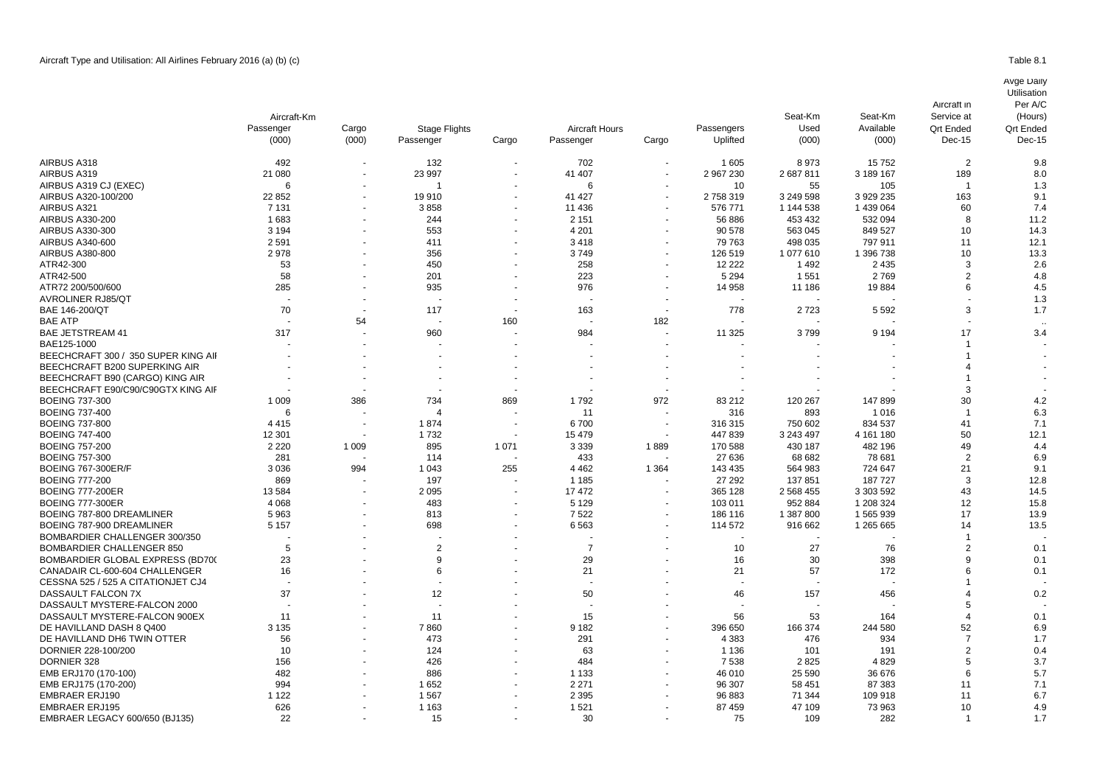## Avge Daily

**Utilisation** 

|                                               | Aircraft-Km<br>Passenger<br>(000) | Cargo<br>(000) | <b>Stage Flights</b><br>Passenger | Cargo   | <b>Aircraft Hours</b><br>Passenger | Cargo                    | Passengers<br>Uplifted | Seat-Km<br>Used<br>(000) | Seat-Km<br>Available<br>(000) | Aircraft in<br>Service at<br><b>Qrt Ended</b><br>Dec-15 | Per A/C<br>(Hours)<br><b>Qrt Ended</b><br>Dec-15 |
|-----------------------------------------------|-----------------------------------|----------------|-----------------------------------|---------|------------------------------------|--------------------------|------------------------|--------------------------|-------------------------------|---------------------------------------------------------|--------------------------------------------------|
| AIRBUS A318                                   | 492                               |                | 132                               |         | 702                                |                          | 1605                   | 8973                     | 15752                         | $\overline{2}$                                          | 9.8                                              |
| AIRBUS A319                                   | 21 080                            |                | 23 997                            |         | 41 407                             |                          | 2 967 230              | 2687811                  | 3 189 167                     | 189                                                     | 8.0                                              |
| AIRBUS A319 CJ (EXEC)                         | 6                                 |                |                                   |         | 6                                  |                          | 10                     | 55                       | 105                           |                                                         | 1.3                                              |
| AIRBUS A320-100/200                           | 22 852                            |                | 19910                             |         | 41 427                             |                          | 2758319                | 3 249 598                | 3 929 235                     | 163                                                     | 9.1                                              |
| AIRBUS A321                                   | 7 1 3 1                           |                | 3858                              |         | 11 436                             |                          | 576 771                | 1 144 538                | 1 439 064                     | 60                                                      | 7.4                                              |
| <b>AIRBUS A330-200</b>                        | 1683                              |                | 244                               |         | 2 1 5 1                            |                          | 56 886                 | 453 432                  | 532 094                       | 8                                                       | 11.2                                             |
| AIRBUS A330-300                               | 3 1 9 4                           |                | 553                               |         | 4 2 0 1                            |                          | 90 578                 | 563 045                  | 849 527                       | 10                                                      | 14.3                                             |
| AIRBUS A340-600                               | 2591                              |                | 411                               |         | 3418                               |                          | 79 763                 | 498 035                  | 797 911                       | 11                                                      | 12.1                                             |
| <b>AIRBUS A380-800</b>                        | 2978                              |                | 356                               |         | 3749                               |                          | 126 519                | 1077610                  | 1 396 738                     | 10                                                      | 13.3                                             |
| ATR42-300                                     | 53                                |                | 450                               |         | 258                                |                          | 12 2 2 2               | 1492                     | 2 4 3 5                       | 3                                                       | 2.6                                              |
| ATR42-500                                     | 58                                |                | 201                               |         | 223                                |                          | 5 2 9 4                | 1551                     | 2769                          | $\overline{2}$                                          | 4.8                                              |
| ATR72 200/500/600                             | 285                               |                | 935                               |         | 976                                |                          | 14 958                 | 11 186                   | 19884                         | 6                                                       | 4.5                                              |
| <b>AVROLINER RJ85/QT</b>                      |                                   |                |                                   |         |                                    |                          |                        |                          |                               |                                                         | 1.3                                              |
| BAE 146-200/QT                                | 70                                |                | 117                               |         | 163                                |                          | 778                    | 2723                     | 5 5 9 2                       | 3                                                       | 1.7                                              |
| <b>BAE ATP</b>                                |                                   | 54             |                                   | 160     |                                    | 182                      |                        |                          |                               |                                                         |                                                  |
| <b>BAE JETSTREAM 41</b>                       | 317                               |                | 960                               |         | 984                                |                          | 11 325                 | 3799                     | 9 1 9 4                       | 17                                                      | 3.4                                              |
| BAE125-1000                                   |                                   |                |                                   |         |                                    |                          |                        |                          |                               |                                                         |                                                  |
| BEECHCRAFT 300 / 350 SUPER KING AIR           |                                   |                |                                   |         |                                    |                          |                        |                          |                               |                                                         |                                                  |
| BEECHCRAFT B200 SUPERKING AIR                 |                                   |                |                                   |         |                                    |                          |                        |                          |                               |                                                         |                                                  |
| BEECHCRAFT B90 (CARGO) KING AIR               |                                   |                |                                   |         |                                    |                          |                        |                          |                               |                                                         |                                                  |
| BEECHCRAFT E90/C90/C90GTX KING AIF            |                                   |                |                                   |         |                                    |                          |                        |                          |                               | 3                                                       |                                                  |
| <b>BOEING 737-300</b>                         | 1 0 0 9                           | 386            | 734                               | 869     | 1792                               | 972                      | 83 212                 | 120 267                  | 147899                        | 30                                                      | 4.2                                              |
| <b>BOEING 737-400</b>                         | 6                                 |                |                                   |         | 11                                 |                          | 316                    | 893                      | 1 0 1 6                       |                                                         | 6.3                                              |
| <b>BOEING 737-800</b>                         | 4415                              |                | 1874                              |         | 6700                               | $\overline{\phantom{a}}$ | 316 315                | 750 602                  | 834 537                       | 41                                                      | 7.1                                              |
| <b>BOEING 747-400</b>                         | 12 301                            |                | 1732                              |         | 15 4 79                            |                          | 447839                 | 3 243 497                | 4 161 180                     | 50                                                      | 12.1                                             |
| <b>BOEING 757-200</b>                         | 2 2 2 0                           | 1 0 0 9        | 895                               | 1 0 7 1 | 3 3 3 9                            | 1889                     | 170 588                | 430 187                  | 482 196                       | 49                                                      | 4.4                                              |
| <b>BOEING 757-300</b>                         | 281                               |                | 114                               |         | 433                                |                          | 27 636                 | 68 682                   | 78 681                        | $\overline{2}$                                          | 6.9                                              |
| <b>BOEING 767-300ER/F</b>                     | 3036                              | 994            | 1 0 4 3                           | 255     | 4 4 6 2                            | 1 3 6 4                  | 143 435                | 564 983                  | 724 647                       | 21                                                      | 9.1                                              |
| <b>BOEING 777-200</b>                         | 869                               |                | 197                               |         | 1 1 8 5                            |                          | 27 29 2                | 137851                   | 187 727                       | 3                                                       | 12.8                                             |
| <b>BOEING 777-200ER</b>                       | 13584                             |                | 2095                              |         | 17 472                             |                          | 365 128                | 2 5 68 4 55              | 3 303 592                     | 43                                                      | 14.5                                             |
| <b>BOEING 777-300ER</b>                       | 4 0 6 8                           |                | 483                               |         | 5 1 2 9                            |                          | 103 011                | 952 884                  | 1 208 324                     | 12                                                      | 15.8                                             |
| BOEING 787-800 DREAMLINER                     | 5963                              |                | 813                               |         | 7522                               |                          | 186 116                | 1 387 800                | 1565939                       | 17                                                      | 13.9                                             |
| BOEING 787-900 DREAMLINER                     | 5 1 5 7                           |                | 698                               |         | 6563                               |                          | 114 572                | 916 662                  | 1 265 665                     | 14                                                      | 13.5                                             |
| BOMBARDIER CHALLENGER 300/350                 |                                   |                |                                   |         |                                    |                          |                        |                          |                               |                                                         |                                                  |
| <b>BOMBARDIER CHALLENGER 850</b>              | 5                                 |                | $\overline{2}$                    |         | $\overline{7}$                     |                          | 10                     | 27                       | 76                            | $\overline{2}$                                          | 0.1                                              |
| BOMBARDIER GLOBAL EXPRESS (BD700              | 23                                |                | 9                                 |         | 29                                 |                          | 16                     | 30                       | 398                           | 9                                                       | 0.1                                              |
| CANADAIR CL-600-604 CHALLENGER                | 16                                |                | 6                                 |         | 21                                 |                          | 21                     | 57                       | 172                           | 6                                                       | 0.1                                              |
| CESSNA 525 / 525 A CITATIONJET CJ4            |                                   |                |                                   |         |                                    |                          |                        |                          |                               |                                                         |                                                  |
| DASSAULT FALCON 7X                            | 37                                |                | 12                                |         | 50                                 |                          | 46                     | 157                      | 456                           |                                                         | 0.2                                              |
| DASSAULT MYSTERE-FALCON 2000                  |                                   |                |                                   |         |                                    |                          |                        |                          |                               | 5                                                       |                                                  |
| DASSAULT MYSTERE-FALCON 900EX                 | 11                                |                | 11                                |         | 15                                 |                          | 56                     | 53                       | 164                           | 4                                                       | 0.1                                              |
| DE HAVILLAND DASH 8 Q400                      | 3 1 3 5                           |                | 7860                              |         | 9 1 8 2                            |                          | 396 650                | 166 374                  | 244 580                       | 52                                                      | 6.9                                              |
| DE HAVILLAND DH6 TWIN OTTER                   | 56                                |                | 473                               |         | 291                                |                          | 4 3 8 3                | 476                      | 934                           | $\overline{7}$                                          | 1.7                                              |
| DORNIER 228-100/200                           | 10                                |                | 124                               |         | 63                                 |                          | 1 1 3 6                | 101                      | 191                           | $\overline{2}$                                          | 0.4                                              |
|                                               |                                   |                | 426                               |         |                                    |                          | 7538                   | 2825                     |                               | 5                                                       | 3.7                                              |
| DORNIER 328<br>EMB ERJ170 (170-100)           | 156<br>482                        |                | 886                               |         | 484<br>1 1 3 3                     |                          | 46 010                 | 25 5 9 0                 | 4829<br>36 676                | 6                                                       | 5.7                                              |
|                                               | 994                               |                | 1652                              |         | 2 2 7 1                            |                          | 96 307                 | 58 451                   | 87 383                        | 11                                                      | 7.1                                              |
| EMB ERJ175 (170-200)<br><b>EMBRAER ERJ190</b> | 1 1 2 2                           |                | 1567                              |         | 2 3 9 5                            |                          | 96 883                 | 71 344                   | 109 918                       | 11                                                      | 6.7                                              |
|                                               |                                   |                |                                   |         | 1521                               |                          | 87 459                 | 47 109                   |                               | 10                                                      |                                                  |
| <b>EMBRAER ERJ195</b>                         | 626<br>22                         |                | 1 1 6 3<br>15                     |         | 30                                 |                          | 75                     | 109                      | 73 963<br>282                 | -1                                                      | 4.9<br>1.7                                       |
| EMBRAER LEGACY 600/650 (BJ135)                |                                   |                |                                   |         |                                    |                          |                        |                          |                               |                                                         |                                                  |